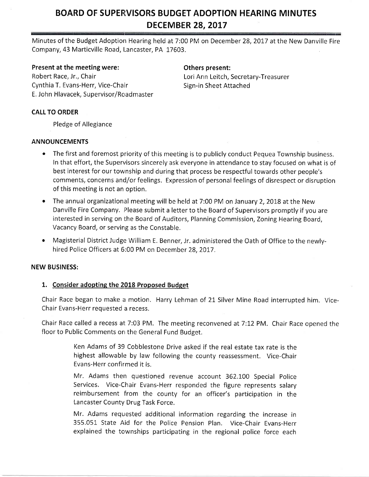# BOARD OF SUPERVISORS BUDGET ADOPTION HEARING MINUTES DECEMBER 28, 2017

Minutes of the Budget Adoption Hearing held at 7:00 PM on December 28, 2017 at the New Danville Fire Company, 43 Marticville Road, Lancaster, PA 17603.

#### Present at the meeting were: Change of Chers present:

Robert Race, Jr., Chair **Louring Access 19 Containst Ann Leitch, Secretary-Treasurer** Cynthia T. Evans-Herr, Vice-Chair Summann Sign-in Sheet Attached E, John Hlavacek, Supervisor/Roadmaster

### CALL TO ORDER

Pledge of Allegiance

#### ANNOUNCEMENTS

- The first and foremost priority of this meeting is to publicly conduct Pequea Township business. In that effort, the Supervisors sincerely ask everyone in attendance to stay focused on what is of best interest for our township and during that process be respectful towards other people's comments, concerns and/or feelings. Expression of personal feelings of disrespect or disruption of this meeting is not an option,
- The annual organizational meeting will be held at 7:00 PM on January 2, 2018 at the New Danville Fire Company. Please submit a letter to the Board of Supervisors promptly if you are interested in serving on the Board of Auditors, Planning Commission, Zoning Hearing Board, Vacancy Board, or serving as the Constable.
- Magisterial District Judge William E. Benner, Jr. administered the Oath of Office to the newlyhired Police Officers at 6:00 PM on December 28, 2017.

## NEW BUSINESS:

## 1. Consider adopting the 2018 Proposed Budget

Chair Race began to make a motion. Harry Lehman of 21 Silver Mine Road interrupted him. Vice-Chair Evans-Herr requested a recess.

Chair Race called a recess at 7:03 PM. The meeting reconvened at 7:12 PM. Chair Race opened the floor to Public Comments on the General Fund Budget.

> Ken Adams of 39 Cobblestone Drive asked if the real estate tax rate is the highest allowable by law following the county reassessment. Vice-Chair Evans-Herr confirmed it is.

> Mr. Adams then questioned revenue account 362.100 Special Police Services. Vice-Chair Evans-Herr responded the figure represents salary reimbursement from the county for an officer's participation in the Lancaster County Drug Task Force,

> Mr. Adams requested additional information regarding the increase in 355.051 State Aid for the Police Pension Plan. Vice-Chair Evans-Herr explained the townships participating in the regional police force each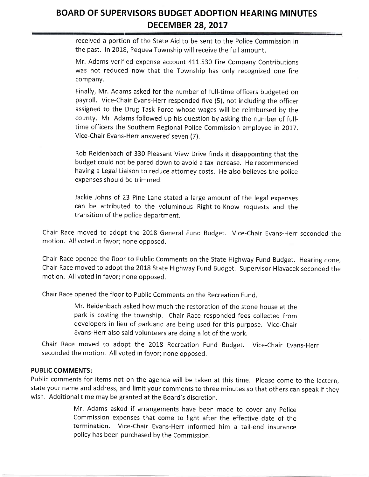# BOARD OF SUPERVISORS BUDGET ADOPTION HEARING MINUTES DECEMBER 28, 2OL7

received a portion of the State Aid to be sent to the Police Commission in the past. In 2018, Pequea Township will receive the full amount.

Mr. Adams verified expense account 411,530 Fire Company Contributions was not reduced now that the Township has only recognized one fire company.

Finally, Mr. Adams asked for the number of full-time officers budgeted on payroll. Vice-Chair Evans-Herr responded five (5), not including the officer assigned to the Drug Task Force whose wages will be reimbursed by the county, Mr, Adams followed up his question by asking the number of fulltime officers the Southern Regional Police Commission employed in 2017. Vice-Chair Evans-Herr answered seven (7).

Rob Reidenbach of 330 Pleasant View Drive finds it disappointing that the budget could not be pared down to avoid a tax increase. He recommended having a Legal Liaison to reduce attorney costs. He also believes the police expenses should be trimmed.

Jackie Johns of 23 Pine Lane stated a large amount of the legal expenses can be attributed to the voluminous Right-to-Know requests and the transition of the police department,

Chair Race moved to adopt the 2018 General Fund Budget. Vice-Chair Evans-Herr seconded the motion. All voted in favor; none opposed.

Chair Race opened the floor to Public Comments on the State Highway Fund Budget. Hearing none, Chair Race moved to adopt the 2018 State Highway Fund Budget. Supervisor Hlavacek seconded the motion. All voted in favor; none opposed.

Chair Race opened the floor to Public Comments on the Recreation Fund.

Mr. Reidenbach asked how much the restoration of the stone house at the park is costing the township. Chair Race responded fees collected from developers in lieu of parkland are being used for this purpose. Vice-Chair Evans-Herr also said volunteers are doing a lot of the work.

Chair Race moved to adopt the 2018 Recreation Fund Budget. Vice-Chair Evans-Herr seconded the motion. All voted in favor; none opposed.

## PUBLIC COMMENTS:

Public comments for items not on the agenda will be taken at this time, Please come to the lectern, state your name and address, and limit your comments to three minutes so that others can speak if they wish. Additional time may be granted at the Board's discretion.

> Mr. Adams asked if arrangements have been made to cover any police commission expenses that come to light after the effective date of the termination. Vice-chair Evans-Herr informed him a tail-end insurance policy has been purchased by the Commission.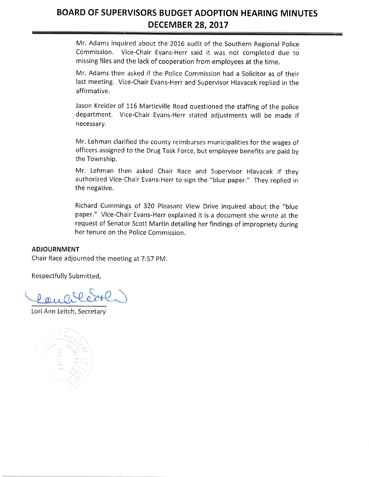# BOARD OF SUPERVISORS BUDGET ADOPTION HEARING MINUTES DECEMBER 28, 2017

Mr. Adams inquired about the 2016 audit of the Southern Regional Police Commission, V'ice-Chair Evans-Herr said it was not completed due to missing files and the lack of cooperation from employees at the time.

Mr. Adams then asked if the Police Commission had a Solicitor as of their last meeting. Vice-Chair Evans-Herr and Supervisor Hlavacek replied in the affirmative.

Jason Kreider of 116 Marticville Road questioned the staffing of the police department. Vice-Chair Evans-Herr stated adiustments will be made if necessary.

Mr. Lehman clarified the county reimburses municipalities for the wages of officers assigned to the Drug Task Force, but employee benefits are paid by the Township.

Mr. Lehman then asked Chair Race -and Supervisor Hlavacek if they authorized Vice-chair Evans-Herr to sign the "blue paper," They replied in the negative.

Richard Cummings of 320 Pleasant View Drive inquired about the "blue paper." Vice-Chair Evans-Herr explained it is a document she wrote at the request of Senator Scott Martin detailing her findings of impropriety during her tenure on the Police Commission.

#### ADJOURNMENT

Chair Race adjourned the meeting at 7:57 pM,

Respectfully Submitted,

Lori Ann Leitch, Secretary